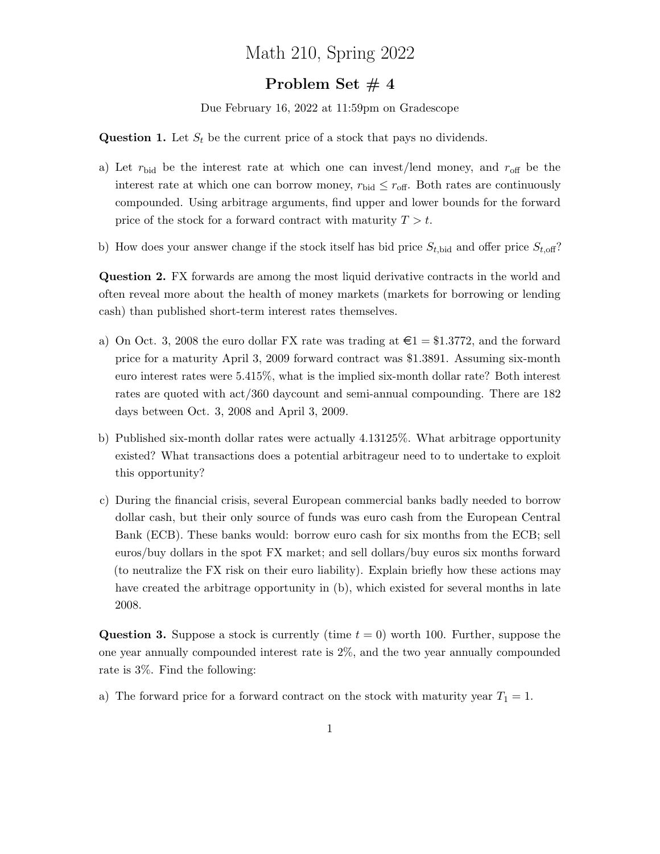## Math 210, Spring 2022

## Problem Set #4

Due February 16, 2022 at 11:59pm on Gradescope

**Question 1.** Let  $S_t$  be the current price of a stock that pays no dividends.

- a) Let  $r_{\text{bid}}$  be the interest rate at which one can invest/lend money, and  $r_{\text{off}}$  be the interest rate at which one can borrow money,  $r_{\text{bid}} \leq r_{\text{off}}$ . Both rates are continuously compounded. Using arbitrage arguments, find upper and lower bounds for the forward price of the stock for a forward contract with maturity  $T > t$ .
- b) How does your answer change if the stock itself has bid price  $S_{t,\text{bid}}$  and offer price  $S_{t,\text{off}}$ ?

Question 2. FX forwards are among the most liquid derivative contracts in the world and often reveal more about the health of money markets (markets for borrowing or lending cash) than published short-term interest rates themselves.

- a) On Oct. 3, 2008 the euro dollar FX rate was trading at  $\epsilon = \text{\$1.3772},$  and the forward price for a maturity April 3, 2009 forward contract was \$1.3891. Assuming six-month euro interest rates were 5.415%, what is the implied six-month dollar rate? Both interest rates are quoted with act/360 daycount and semi-annual compounding. There are 182 days between Oct. 3, 2008 and April 3, 2009.
- b) Published six-month dollar rates were actually 4.13125%. What arbitrage opportunity existed? What transactions does a potential arbitrageur need to to undertake to exploit this opportunity?
- c) During the financial crisis, several European commercial banks badly needed to borrow dollar cash, but their only source of funds was euro cash from the European Central Bank (ECB). These banks would: borrow euro cash for six months from the ECB; sell euros/buy dollars in the spot FX market; and sell dollars/buy euros six months forward (to neutralize the FX risk on their euro liability). Explain briefly how these actions may have created the arbitrage opportunity in (b), which existed for several months in late 2008.

**Question 3.** Suppose a stock is currently (time  $t = 0$ ) worth 100. Further, suppose the one year annually compounded interest rate is 2%, and the two year annually compounded rate is 3%. Find the following:

a) The forward price for a forward contract on the stock with maturity year  $T_1 = 1$ .